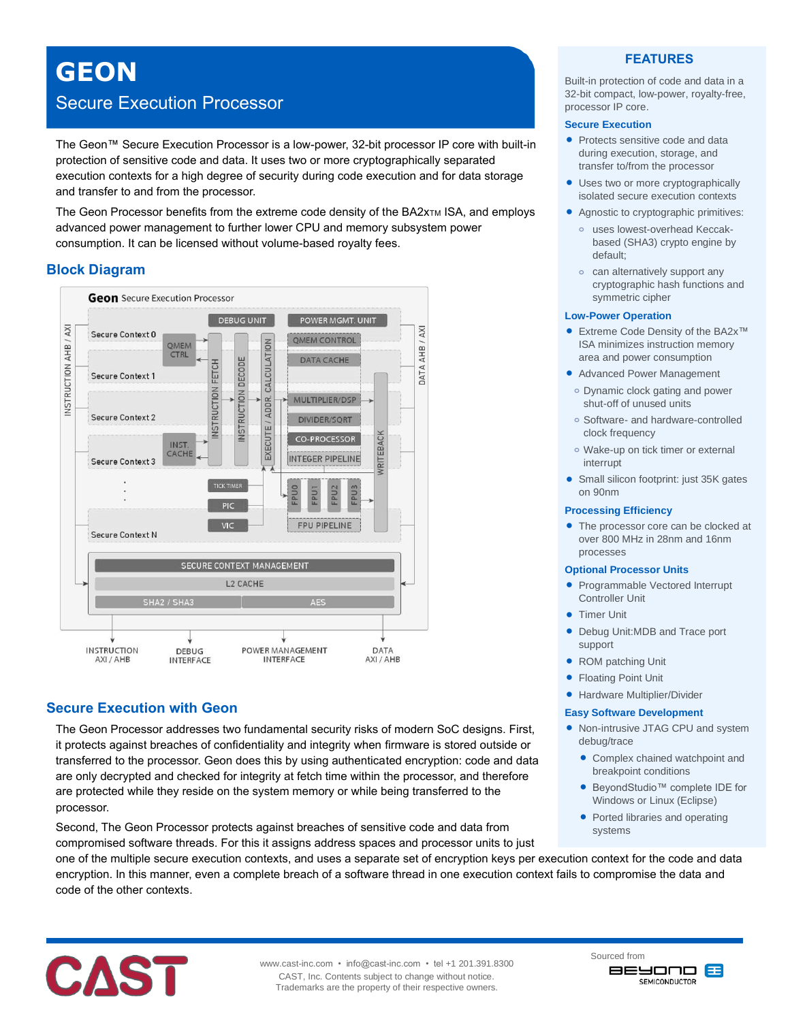# **GEON**

## Secure Execution Processor

The Geon™ Secure Execution Processor is a low-power, 32-bit processor IP core with built-in protection of sensitive code and data. It uses two or more cryptographically separated execution contexts for a high degree of security during code execution and for data storage and transfer to and from the processor.

The Geon Processor benefits from the extreme code density of the BA2x<sub>TM</sub> ISA, and employs advanced power management to further lower CPU and memory subsystem power consumption. It can be licensed without volume-based royalty fees.

## **Block Diagram**



## **Secure Execution with Geon**

The Geon Processor addresses two fundamental security risks of modern SoC designs. First, it protects against breaches of confidentiality and integrity when firmware is stored outside or transferred to the processor. Geon does this by using authenticated encryption: code and data are only decrypted and checked for integrity at fetch time within the processor, and therefore are protected while they reside on the system memory or while being transferred to the processor.

Second, The Geon Processor protects against breaches of sensitive code and data from compromised software threads. For this it assigns address spaces and processor units to just

## **FEATURES**

Built-in protection of code and data in a 32-bit compact, low-power, royalty-free, processor IP core.

#### **Secure Execution**

- Protects sensitive code and data during execution, storage, and transfer to/from the processor
- Uses two or more cryptographically isolated secure execution contexts
- Agnostic to cryptographic primitives:
	- **o** uses lowest-overhead Keccakbased (SHA3) crypto engine by default;
	- **o** can alternatively support any cryptographic hash functions and symmetric cipher

#### **Low-Power Operation**

- Extreme Code Density of the BA2x™ ISA minimizes instruction memory area and power consumption
- Advanced Power Management
- **o** Dynamic clock gating and power shut-off of unused units
- **o** Software- and hardware-controlled clock frequency
- **o** Wake-up on tick timer or external interrupt
- Small silicon footprint: just 35K gates on 90nm

#### **Processing Efficiency**

• The processor core can be clocked at over 800 MHz in 28nm and 16nm processes

#### **Optional Processor Units**

- Programmable Vectored Interrupt Controller Unit
- **Timer Unit**
- Debug Unit:MDB and Trace port support
- ROM patching Unit
- **Floating Point Unit**
- Hardware Multiplier/Divider

#### **Easy Software Development**

- Non-intrusive JTAG CPU and system debug/trace
	- Complex chained watchpoint and breakpoint conditions
	- BeyondStudio™ complete IDE for Windows or Linux (Eclipse)
	- Ported libraries and operating systems



code of the other contexts.

one of the multiple secure execution contexts, and uses a separate set of encryption keys per execution context for the code and data encryption. In this manner, even a complete breach of a software thread in one execution context fails to compromise the data and